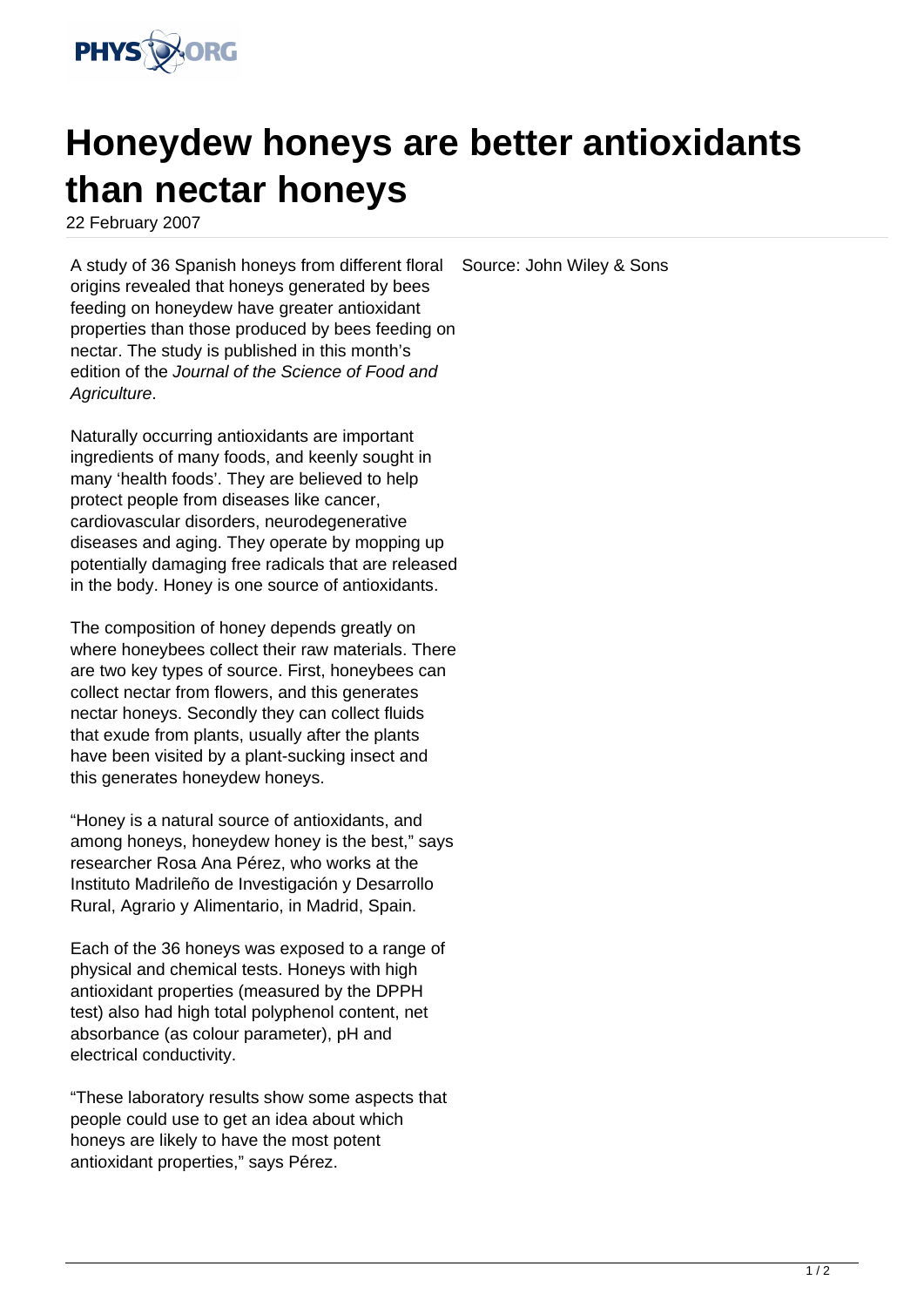

## **Honeydew honeys are better antioxidants than nectar honeys**

22 February 2007

A study of 36 Spanish honeys from different floral origins revealed that honeys generated by bees feeding on honeydew have greater antioxidant properties than those produced by bees feeding on nectar. The study is published in this month's edition of the Journal of the Science of Food and Agriculture. Source: John Wiley & Sons

Naturally occurring antioxidants are important ingredients of many foods, and keenly sought in many 'health foods'. They are believed to help protect people from diseases like cancer, cardiovascular disorders, neurodegenerative diseases and aging. They operate by mopping up potentially damaging free radicals that are released in the body. Honey is one source of antioxidants.

The composition of honey depends greatly on where honeybees collect their raw materials. There are two key types of source. First, honeybees can collect nectar from flowers, and this generates nectar honeys. Secondly they can collect fluids that exude from plants, usually after the plants have been visited by a plant-sucking insect and this generates honeydew honeys.

"Honey is a natural source of antioxidants, and among honeys, honeydew honey is the best," says researcher Rosa Ana Pérez, who works at the Instituto Madrileño de Investigación y Desarrollo Rural, Agrario y Alimentario, in Madrid, Spain.

Each of the 36 honeys was exposed to a range of physical and chemical tests. Honeys with high antioxidant properties (measured by the DPPH test) also had high total polyphenol content, net absorbance (as colour parameter), pH and electrical conductivity.

"These laboratory results show some aspects that people could use to get an idea about which honeys are likely to have the most potent antioxidant properties," says Pérez.